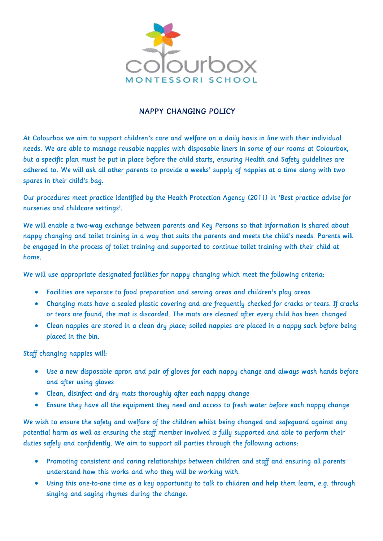

## NAPPY CHANGING POLICY

At Colourbox we aim to support children's care and welfare on a daily basis in line with their individual needs. We are able to manage reusable nappies with disposable liners in some of our rooms at Colourbox, but a specific plan must be put in place before the child starts, ensuring Health and Safety guidelines are adhered to. We will ask all other parents to provide a weeks' supply of nappies at a time along with two spares in their child's bag.

Our procedures meet practice identified by the Health Protection Agency (2011) in 'Best practice advise for nurseries and childcare settings'.

We will enable a two-way exchange between parents and Key Persons so that information is shared about nappy changing and toilet training in a way that suits the parents and meets the child's needs. Parents will be engaged in the process of toilet training and supported to continue toilet training with their child at home.

We will use appropriate designated facilities for nappy changing which meet the following criteria:

- Facilities are separate to food preparation and serving areas and children's play areas
- Changing mats have a sealed plastic covering and are frequently checked for cracks or tears. If cracks or tears are found, the mat is discarded. The mats are cleaned after every child has been changed
- Clean nappies are stored in a clean dry place; soiled nappies are placed in a nappy sack before being placed in the bin.

Staff changing nappies will:

- Use a new disposable apron and pair of gloves for each nappy change and always wash hands before and after using gloves
- Clean, disinfect and dry mats thoroughly after each nappy change
- Ensure they have all the equipment they need and access to fresh water before each nappy change

We wish to ensure the safety and welfare of the children whilst being changed and safeguard against any potential harm as well as ensuring the staff member involved is fully supported and able to perform their duties safely and confidently. We aim to support all parties through the following actions:

- Promoting consistent and caring relationships between children and staff and ensuring all parents understand how this works and who they will be working with.
- Using this one-to-one time as a key opportunity to talk to children and help them learn, e.g. through singing and saying rhymes during the change.